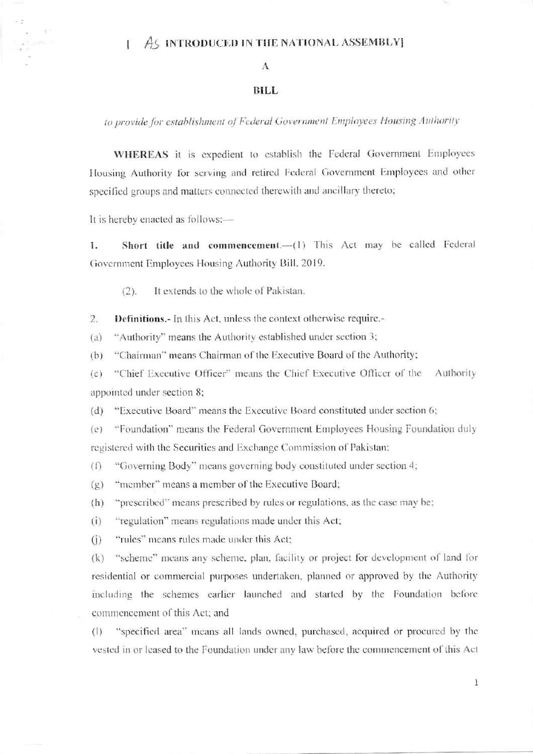## AS INTRODUCED IN THE NATIONAL ASSEMBLY] Ŧ

## A

## **BILL**

to provide for establishment of Federal Government Employees Housing Authority

WHEREAS it is expedient to establish the Federal Government Employees Housing Authority for serving and retired Federal Government Employees and other specified groups and matters connected therewith and ancillary thereto;

It is hereby enacted as follows:-

 $n<sup>2</sup>$ 

Short title and commencement.- (1) This Act may be called Federal 1. Government Employees Housing Authority Bill, 2019.

 $(2).$ It extends to the whole of Pakistan.

**Definitions.**- In this Act, unless the context otherwise require.- $2.$ 

"Authority" means the Authority established under section 3;  $(a)$ 

"Chairman" means Chairman of the Executive Board of the Authority;  $(b)$ 

"Chief Executive Officer" means the Chief Executive Officer of the Authority  $(c)$ appointed under section 8;

"Executive Board" means the Executive Board constituted under section 6;  $(d)$ 

 $(e)$ "Foundation" means the Federal Government Employees Housing Foundation duly registered with the Securities and Exchange Commission of Pakistan:

"Governing Body" means governing body constituted under section 4;  $(f)$ 

"member" means a member of the Executive Board;  $(g)$ 

"prescribed" means prescribed by rules or regulations, as the case may be;  $(h)$ 

"regulation" means regulations made under this Act;  $(i)$ 

"rules" means rules made under this Act;  $(i)$ 

"scheme" means any scheme, plan, facility or project for development of land for  $(k)$ residential or commercial purposes undertaken, planned or approved by the Authority including the schemes earlier launched and started by the Foundation before commencement of this Act; and

 $(1)$ "specified area" means all lands owned, purchased, acquired or procured by the vested in or leased to the Foundation under any law before the commencement of this Act

 $1\,$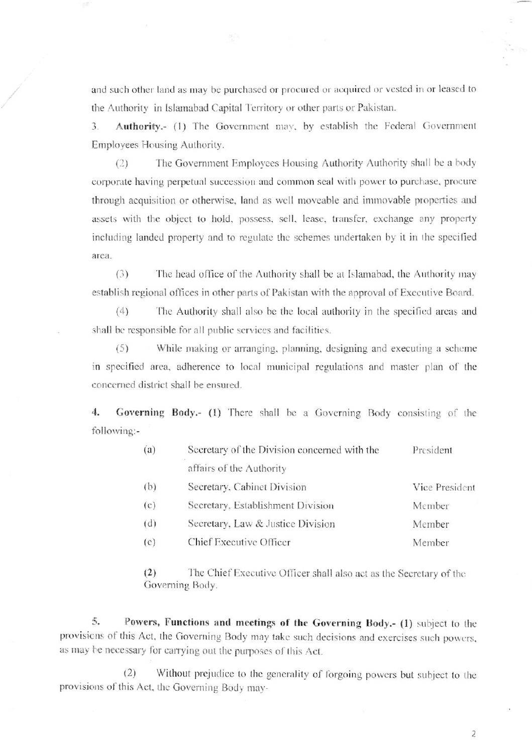and such other land as may be purchased or procured or acquired or vested in or leased to the Authority in Islamabad Capital Territory or other parts or Pakistan.

Authority.- (1) The Government may, by establish the Federal Government  $3.$ Employees Housing Authority.

The Government Employees Housing Authority Authority shall be a body  $(2)$ corporate having perpetual succession and common seal with power to purchase, procure through acquisition or otherwise, land as well moveable and immovable properties and assets with the object to hold, possess, sell, lease, transfer, exchange any property including landed property and to regulate the schemes undertaken by it in the specified area.

 $(3)$ The head office of the Authority shall be at Islamabad, the Authority may establish regional offices in other parts of Pakistan with the approval of Executive Board.

 $(4)$ The Authority shall also be the local authority in the specified areas and shall be responsible for all public services and facilities.

 $(5)$ While making or arranging, planning, designing and executing a scheme in specified area, adherence to local municipal regulations and master plan of the concerned district shall be ensured.

4. Governing Body.- (1) There shall be a Governing Body consisting of the following:-

| (a) | Secretary of the Division concerned with the | President      |
|-----|----------------------------------------------|----------------|
|     | affairs of the Authority                     |                |
| (b) | Secretary, Cabinet Division                  | Vice President |
| (c) | Secretary, Establishment Division            | Member         |
| (d) | Secretary, Law & Justice Division            | Member         |
| (e) | Chief Executive Officer                      | Member         |

The Chief Executive Officer shall also act as the Secretary of the  $(2)$ Governing Body.

5. Powers, Functions and meetings of the Governing Body.- (1) subject to the provisions of this Act, the Governing Body may take such decisions and exercises such powers, as may be necessary for carrying out the purposes of this Act.

Without prejudice to the generality of forgoing powers but subject to the  $(2)$ provisions of this Act, the Governing Body may-

 $\overline{2}$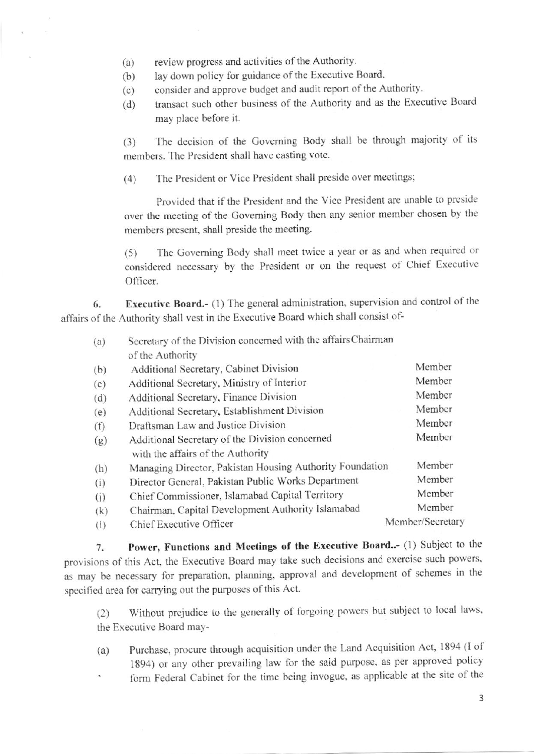- review progress and activities of the Authority.  $(a)$
- lay down policy for guidance of the Executive Board.  $(b)$
- consider and approve budget and audit report of the Authority.  $(c)$
- transact such other business of the Authority and as the Executive Board  $(d)$ may place before it.

The decision of the Governing Body shall be through majority of its  $(3)$ members. The President shall have casting vote.

The President or Vice President shall preside over meetings;  $(4)$ 

Provided that if the President and the Vice President are unable to preside over the meeting of the Governing Body then any senior member chosen by the members present, shall preside the meeting.

The Governing Body shall meet twice a year or as and when required or  $(5)$ considered necessary by the President or on the request of Chief Executive Officer.

Executive Board.- (1) The general administration, supervision and control of the 6. affairs of the Authority shall vest in the Executive Board which shall consist of-

| (a) | Secretary of the Division concerned with the affairs Chairman |                  |
|-----|---------------------------------------------------------------|------------------|
|     | of the Authority                                              |                  |
| (b) | Additional Secretary, Cabinet Division                        | Member           |
| (c) | Additional Secretary, Ministry of Interior                    | Member           |
| (d) | Additional Secretary, Finance Division                        | Member           |
| (e) | Additional Secretary, Establishment Division                  | Member           |
| (f) | Draftsman Law and Justice Division                            | Member           |
| (g) | Additional Secretary of the Division concerned                | Member           |
|     | with the affairs of the Authority                             |                  |
| (h) | Managing Director, Pakistan Housing Authority Foundation      | Member           |
| (i) | Director General, Pakistan Public Works Department            | Member           |
| (i) | Chief Commissioner, Islamabad Capital Territory               | Member           |
| (k) | Chairman, Capital Development Authority Islamabad             | Member           |
| (1) | Chief Executive Officer                                       | Member/Secretary |

Power, Functions and Meetings of the Executive Board..- (1) Subject to the 7. provisions of this Act, the Executive Board may take such decisions and exercise such powers, as may be necessary for preparation, planning, approval and development of schemes in the specified area for carrying out the purposes of this Act.

Without prejudice to the generally of forgoing powers but subject to local laws,  $(2)$ the Executive Board may-

- Purchase, procure through acquisition under the Land Acquisition Act, 1894 (I of  $(a)$ 1894) or any other prevailing law for the said purpose, as per approved policy form Federal Cabinet for the time being invogue, as applicable at the site of the
	- $\overline{3}$